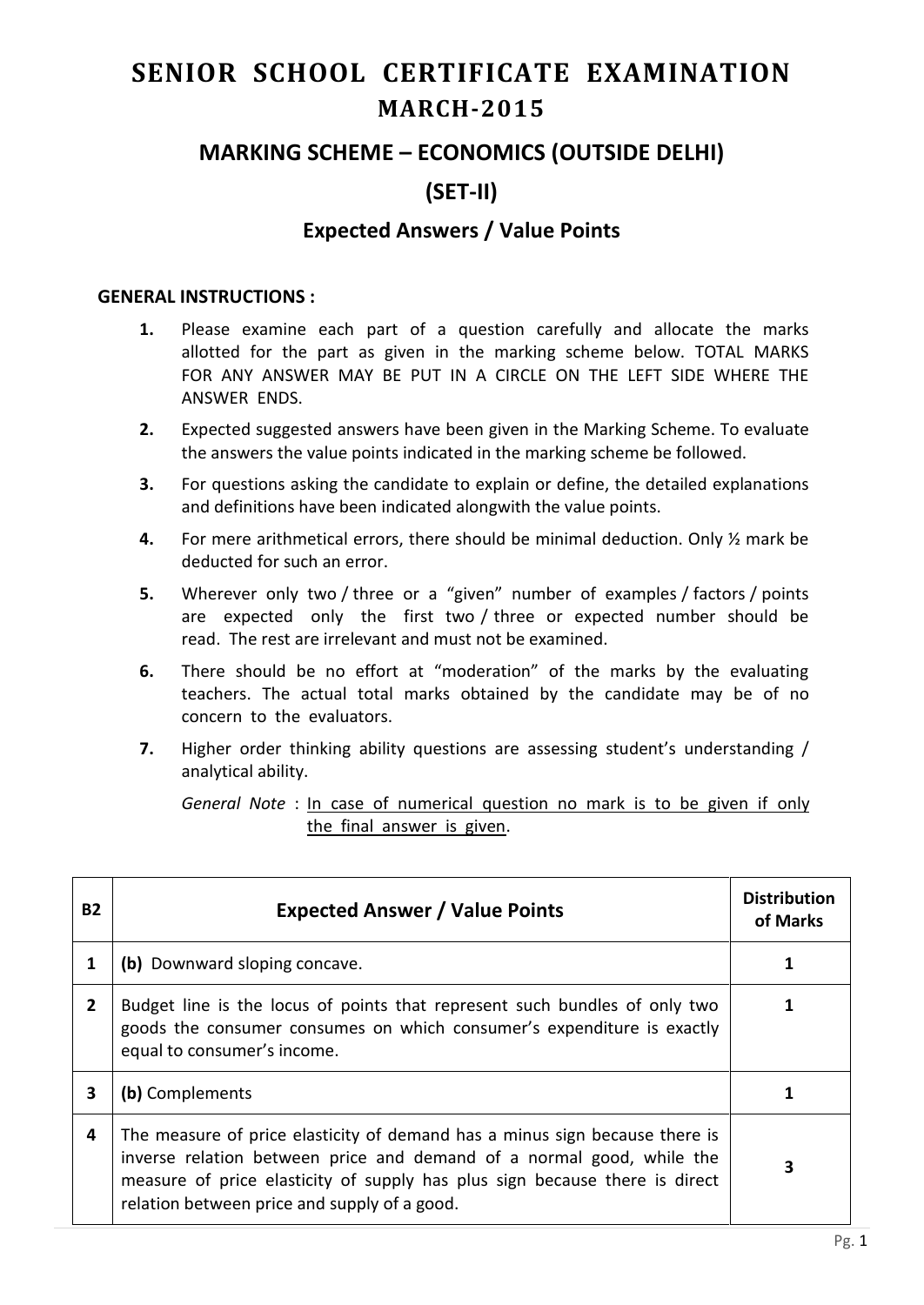# **SENIOR SCHOOL CERTIFICATE EXAMINATION MARCH-2015**

## **MARKING SCHEME – ECONOMICS (OUTSIDE DELHI)**

# **(SET-II)**

## **Expected Answers / Value Points**

#### **GENERAL INSTRUCTIONS :**

- **1.** Please examine each part of a question carefully and allocate the marks allotted for the part as given in the marking scheme below. TOTAL MARKS FOR ANY ANSWER MAY BE PUT IN A CIRCLE ON THE LEFT SIDE WHERE THE ANSWER ENDS.
- **2.** Expected suggested answers have been given in the Marking Scheme. To evaluate the answers the value points indicated in the marking scheme be followed.
- **3.** For questions asking the candidate to explain or define, the detailed explanations and definitions have been indicated alongwith the value points.
- **4.** For mere arithmetical errors, there should be minimal deduction. Only ½ mark be deducted for such an error.
- **5.** Wherever only two / three or a "given" number of examples / factors / points are expected only the first two / three or expected number should be read. The rest are irrelevant and must not be examined.
- **6.** There should be no effort at "moderation" of the marks by the evaluating teachers. The actual total marks obtained by the candidate may be of no concern to the evaluators.
- **7.** Higher order thinking ability questions are assessing student's understanding / analytical ability.

*General Note* : In case of numerical question no mark is to be given if only the final answer is given.

| <b>B2</b>    | <b>Expected Answer / Value Points</b>                                                                                                                                                                                                                                               | <b>Distribution</b><br>of Marks |
|--------------|-------------------------------------------------------------------------------------------------------------------------------------------------------------------------------------------------------------------------------------------------------------------------------------|---------------------------------|
|              | (b) Downward sloping concave.                                                                                                                                                                                                                                                       |                                 |
| $\mathbf{2}$ | Budget line is the locus of points that represent such bundles of only two<br>goods the consumer consumes on which consumer's expenditure is exactly<br>equal to consumer's income.                                                                                                 |                                 |
| 3            | (b) Complements                                                                                                                                                                                                                                                                     |                                 |
| 4            | The measure of price elasticity of demand has a minus sign because there is<br>inverse relation between price and demand of a normal good, while the<br>measure of price elasticity of supply has plus sign because there is direct<br>relation between price and supply of a good. | 3                               |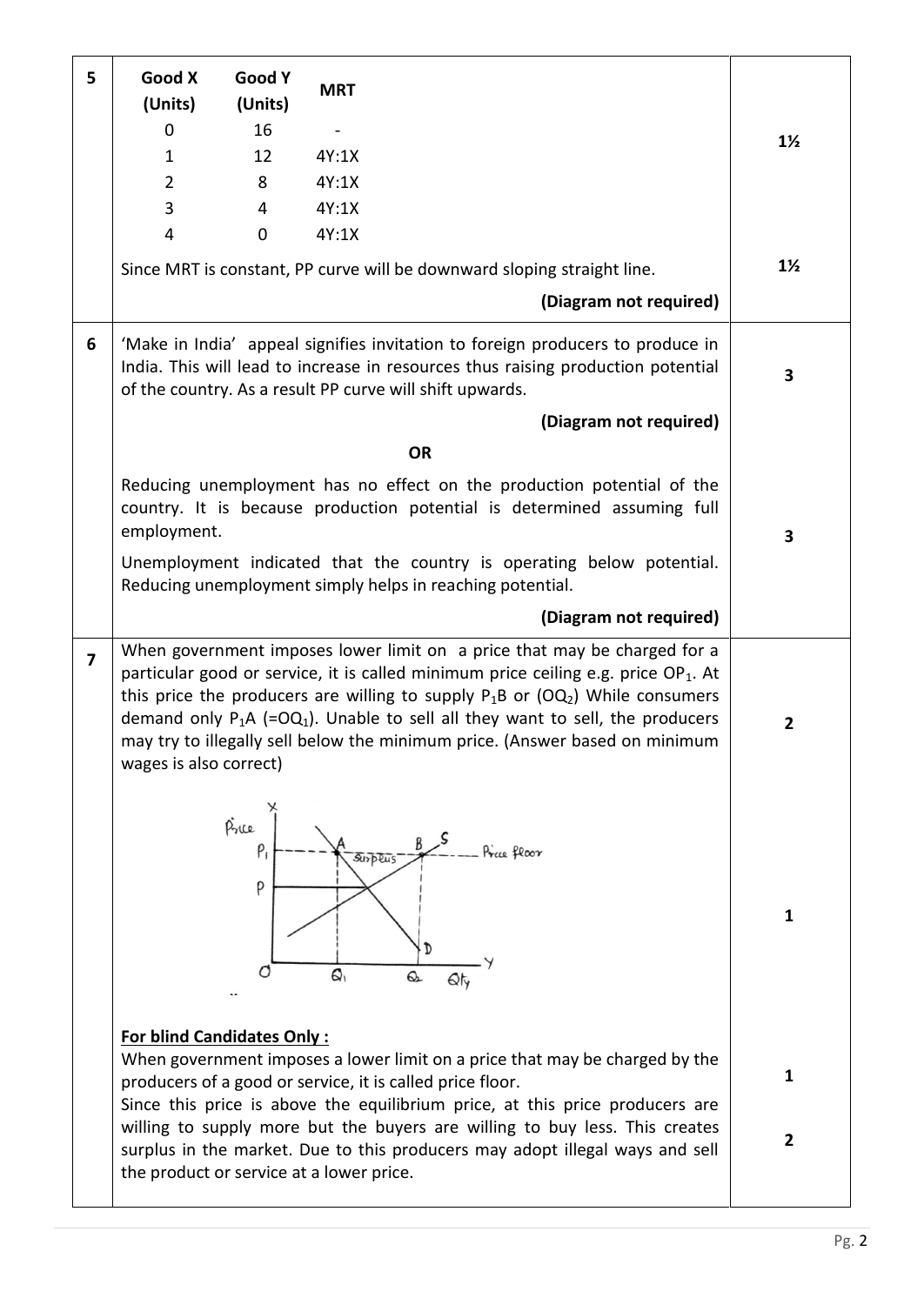| 5              | Good X<br>(Units)                 | Good Y<br>(Units)   | <b>MRT</b>                                                                                                                                                                                                                                                                                                                                                                                                                                              |                |
|----------------|-----------------------------------|---------------------|---------------------------------------------------------------------------------------------------------------------------------------------------------------------------------------------------------------------------------------------------------------------------------------------------------------------------------------------------------------------------------------------------------------------------------------------------------|----------------|
|                | $\mathbf 0$                       | 16                  |                                                                                                                                                                                                                                                                                                                                                                                                                                                         | $1\frac{1}{2}$ |
|                | $\mathbf{1}$                      | 12                  | 4Y:1X                                                                                                                                                                                                                                                                                                                                                                                                                                                   |                |
|                | $\overline{2}$                    | 8                   | 4Y:1X                                                                                                                                                                                                                                                                                                                                                                                                                                                   |                |
|                | $\overline{3}$                    | 4                   | 4Y:1X                                                                                                                                                                                                                                                                                                                                                                                                                                                   |                |
|                | $\overline{4}$                    | $\mathbf 0$         | 4Y:1X                                                                                                                                                                                                                                                                                                                                                                                                                                                   |                |
|                |                                   |                     | Since MRT is constant, PP curve will be downward sloping straight line.                                                                                                                                                                                                                                                                                                                                                                                 | $1\frac{1}{2}$ |
|                |                                   |                     | (Diagram not required)                                                                                                                                                                                                                                                                                                                                                                                                                                  |                |
| 6              |                                   |                     | 'Make in India' appeal signifies invitation to foreign producers to produce in<br>India. This will lead to increase in resources thus raising production potential<br>of the country. As a result PP curve will shift upwards.                                                                                                                                                                                                                          | 3              |
|                |                                   |                     | (Diagram not required)                                                                                                                                                                                                                                                                                                                                                                                                                                  |                |
|                |                                   |                     | <b>OR</b>                                                                                                                                                                                                                                                                                                                                                                                                                                               |                |
|                | employment.                       |                     | Reducing unemployment has no effect on the production potential of the<br>country. It is because production potential is determined assuming full                                                                                                                                                                                                                                                                                                       | 3              |
|                |                                   |                     | Unemployment indicated that the country is operating below potential.<br>Reducing unemployment simply helps in reaching potential.                                                                                                                                                                                                                                                                                                                      |                |
|                |                                   |                     | (Diagram not required)                                                                                                                                                                                                                                                                                                                                                                                                                                  |                |
| $\overline{7}$ | wages is also correct)            |                     | When government imposes lower limit on a price that may be charged for a<br>particular good or service, it is called minimum price ceiling e.g. price OP <sub>1</sub> . At<br>this price the producers are willing to supply $P_1B$ or (OQ <sub>2</sub> ) While consumers<br>demand only $P_1A$ (=OQ <sub>1</sub> ). Unable to sell all they want to sell, the producers<br>may try to illegally sell below the minimum price. (Answer based on minimum | $\mathbf{2}$   |
|                |                                   | Price<br>$P_1$<br>P | Price floor<br><i><b>Surplus</b></i><br>D<br>₿,<br>Q<br>Qty                                                                                                                                                                                                                                                                                                                                                                                             | $\mathbf{1}$   |
|                | <b>For blind Candidates Only:</b> |                     | When government imposes a lower limit on a price that may be charged by the<br>producers of a good or service, it is called price floor.<br>Since this price is above the equilibrium price, at this price producers are                                                                                                                                                                                                                                | $\mathbf{1}$   |
|                |                                   |                     | willing to supply more but the buyers are willing to buy less. This creates<br>surplus in the market. Due to this producers may adopt illegal ways and sell<br>the product or service at a lower price.                                                                                                                                                                                                                                                 | $\mathbf{2}$   |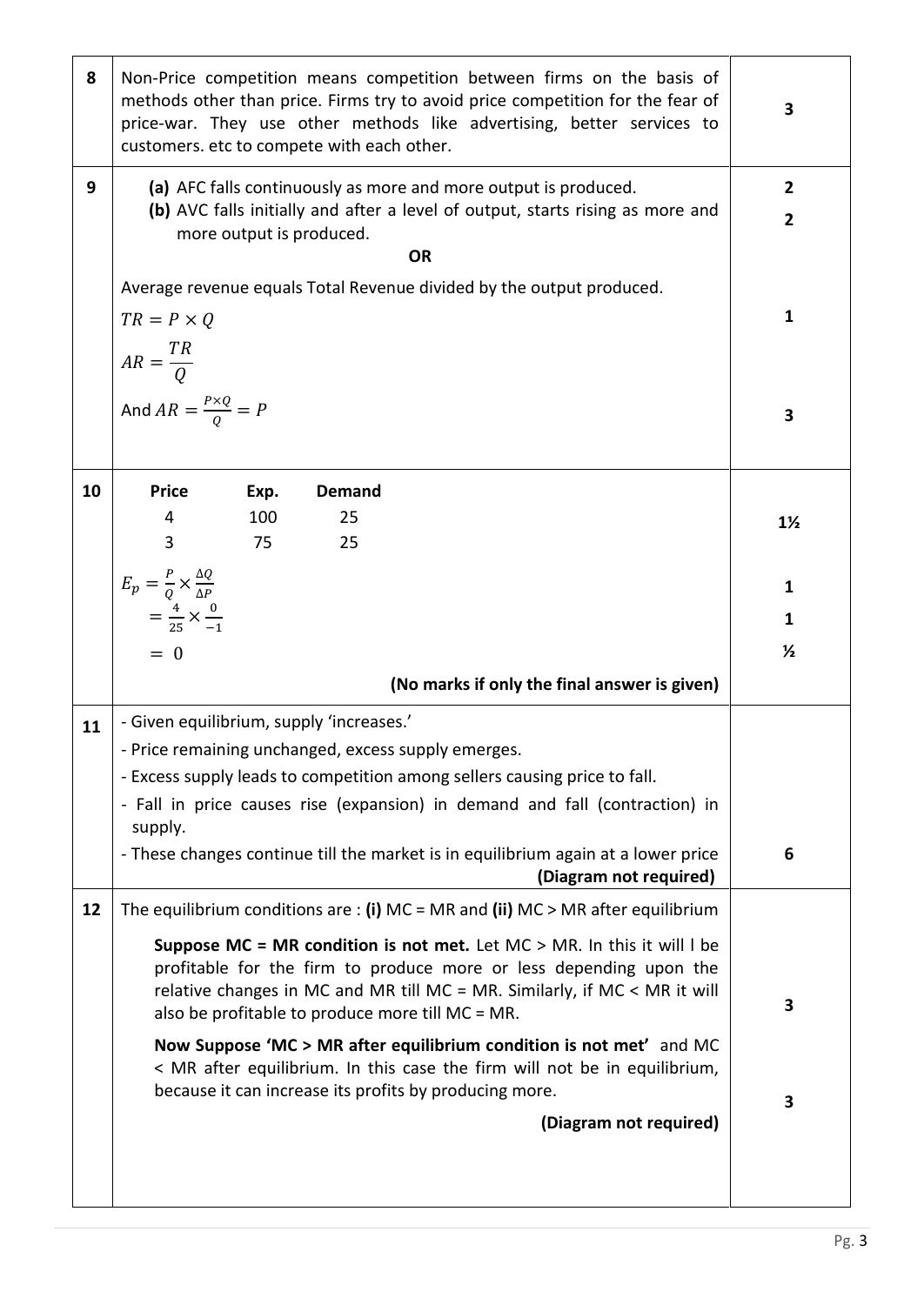| 8  | Non-Price competition means competition between firms on the basis of<br>methods other than price. Firms try to avoid price competition for the fear of<br>price-war. They use other methods like advertising, better services to<br>customers. etc to compete with each other. | 3              |  |  |  |  |
|----|---------------------------------------------------------------------------------------------------------------------------------------------------------------------------------------------------------------------------------------------------------------------------------|----------------|--|--|--|--|
| 9  | (a) AFC falls continuously as more and more output is produced.                                                                                                                                                                                                                 | $\overline{2}$ |  |  |  |  |
|    | (b) AVC falls initially and after a level of output, starts rising as more and<br>more output is produced.                                                                                                                                                                      | $\overline{2}$ |  |  |  |  |
|    | <b>OR</b>                                                                                                                                                                                                                                                                       |                |  |  |  |  |
|    | Average revenue equals Total Revenue divided by the output produced.                                                                                                                                                                                                            |                |  |  |  |  |
|    | $TR = P \times Q$                                                                                                                                                                                                                                                               | 1              |  |  |  |  |
|    | $AR = \frac{TR}{Q}$                                                                                                                                                                                                                                                             |                |  |  |  |  |
|    |                                                                                                                                                                                                                                                                                 |                |  |  |  |  |
|    | And $AR = \frac{P \times Q}{Q} = P$                                                                                                                                                                                                                                             | 3              |  |  |  |  |
|    |                                                                                                                                                                                                                                                                                 |                |  |  |  |  |
| 10 | <b>Price</b><br>Exp.<br><b>Demand</b>                                                                                                                                                                                                                                           |                |  |  |  |  |
|    | 100<br>25<br>4                                                                                                                                                                                                                                                                  | $1\frac{1}{2}$ |  |  |  |  |
|    | 3<br>75<br>25                                                                                                                                                                                                                                                                   |                |  |  |  |  |
|    | $E_p = \frac{P}{Q} \times \frac{\Delta Q}{\Delta P}$                                                                                                                                                                                                                            | $\mathbf{1}$   |  |  |  |  |
|    | $=\frac{4}{25}\times\frac{0}{-1}$                                                                                                                                                                                                                                               | 1              |  |  |  |  |
|    | $= 0$                                                                                                                                                                                                                                                                           | $\frac{1}{2}$  |  |  |  |  |
|    | (No marks if only the final answer is given)                                                                                                                                                                                                                                    |                |  |  |  |  |
| 11 | - Given equilibrium, supply 'increases.'                                                                                                                                                                                                                                        |                |  |  |  |  |
|    | - Price remaining unchanged, excess supply emerges.                                                                                                                                                                                                                             |                |  |  |  |  |
|    | - Excess supply leads to competition among sellers causing price to fall.                                                                                                                                                                                                       |                |  |  |  |  |
|    | - Fall in price causes rise (expansion) in demand and fall (contraction) in<br>supply.                                                                                                                                                                                          |                |  |  |  |  |
|    | - These changes continue till the market is in equilibrium again at a lower price                                                                                                                                                                                               |                |  |  |  |  |
|    | (Diagram not required)                                                                                                                                                                                                                                                          |                |  |  |  |  |
| 12 | The equilibrium conditions are : (i) $MC = MR$ and (ii) $MC > MR$ after equilibrium                                                                                                                                                                                             |                |  |  |  |  |
|    | Suppose MC = MR condition is not met. Let $MC > MR$ . In this it will I be                                                                                                                                                                                                      |                |  |  |  |  |
|    | profitable for the firm to produce more or less depending upon the<br>relative changes in MC and MR till MC = MR. Similarly, if MC < MR it will                                                                                                                                 |                |  |  |  |  |
|    | also be profitable to produce more till MC = MR.                                                                                                                                                                                                                                | 3              |  |  |  |  |
|    | Now Suppose 'MC > MR after equilibrium condition is not met' and MC<br>< MR after equilibrium. In this case the firm will not be in equilibrium,                                                                                                                                |                |  |  |  |  |
|    | because it can increase its profits by producing more.                                                                                                                                                                                                                          | 3              |  |  |  |  |
|    | (Diagram not required)                                                                                                                                                                                                                                                          |                |  |  |  |  |
|    |                                                                                                                                                                                                                                                                                 |                |  |  |  |  |
|    |                                                                                                                                                                                                                                                                                 |                |  |  |  |  |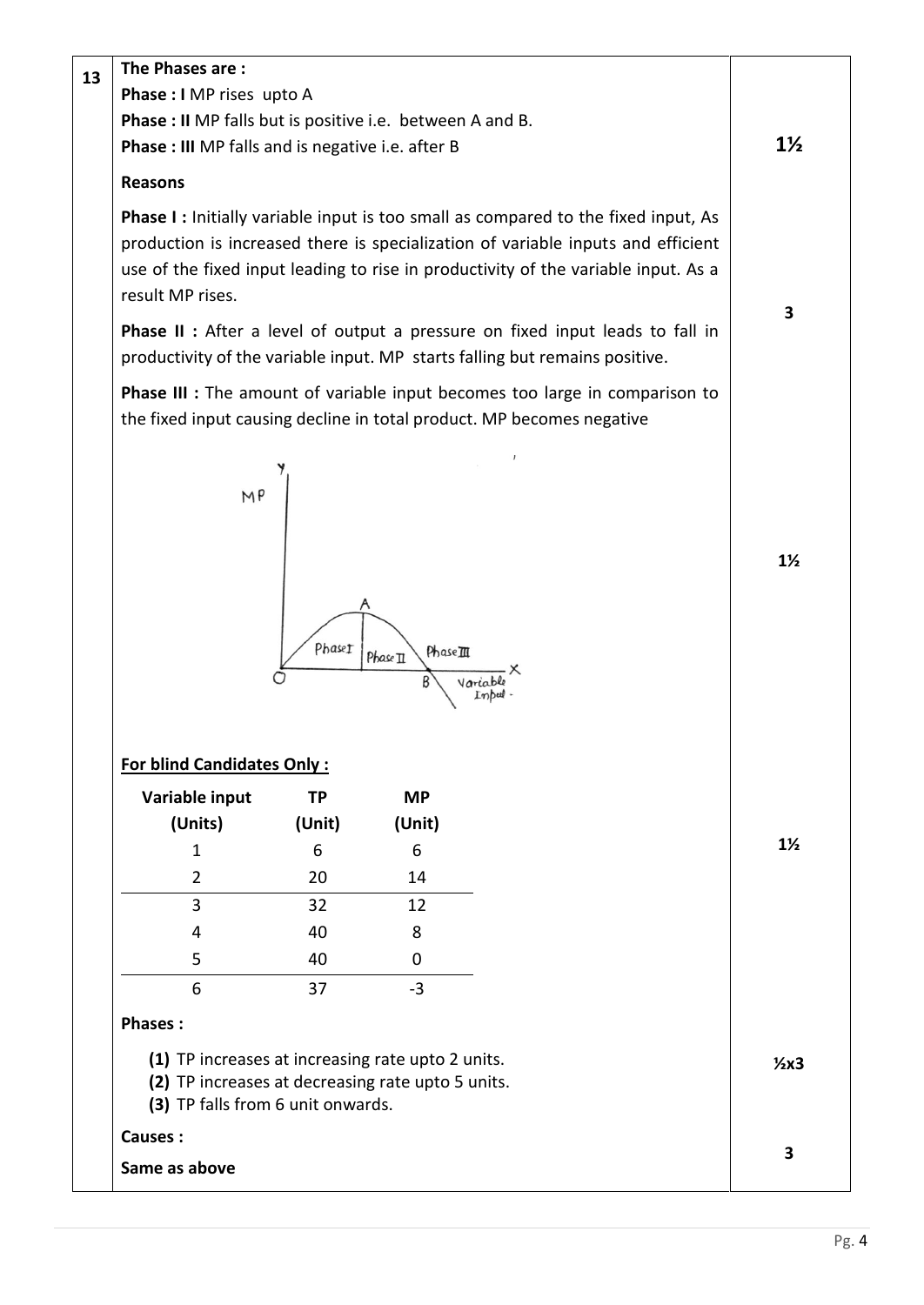| 13 | The Phases are:                                                                                                                             |             |                      |                                                                                                                                                                                                                                                                    |                |
|----|---------------------------------------------------------------------------------------------------------------------------------------------|-------------|----------------------|--------------------------------------------------------------------------------------------------------------------------------------------------------------------------------------------------------------------------------------------------------------------|----------------|
|    | Phase : I MP rises upto A                                                                                                                   |             |                      |                                                                                                                                                                                                                                                                    |                |
|    | <b>Phase : II</b> MP falls but is positive i.e. between A and B.                                                                            |             |                      |                                                                                                                                                                                                                                                                    |                |
|    | Phase : III MP falls and is negative i.e. after B                                                                                           |             |                      |                                                                                                                                                                                                                                                                    | $1\frac{1}{2}$ |
|    | <b>Reasons</b>                                                                                                                              |             |                      |                                                                                                                                                                                                                                                                    |                |
|    | result MP rises.                                                                                                                            |             |                      | <b>Phase I:</b> Initially variable input is too small as compared to the fixed input, As<br>production is increased there is specialization of variable inputs and efficient<br>use of the fixed input leading to rise in productivity of the variable input. As a | 3              |
|    |                                                                                                                                             |             |                      | Phase II : After a level of output a pressure on fixed input leads to fall in<br>productivity of the variable input. MP starts falling but remains positive.                                                                                                       |                |
|    |                                                                                                                                             |             |                      | Phase III : The amount of variable input becomes too large in comparison to<br>the fixed input causing decline in total product. MP becomes negative                                                                                                               |                |
|    | M P                                                                                                                                         | PhaseI      | PhaseIII<br>Phase II |                                                                                                                                                                                                                                                                    | $1\frac{1}{2}$ |
|    | <b>For blind Candidates Only:</b>                                                                                                           |             |                      |                                                                                                                                                                                                                                                                    |                |
|    | Variable input                                                                                                                              | <b>TP</b>   | <b>MP</b>            |                                                                                                                                                                                                                                                                    |                |
|    | (Units)<br>$\mathbf{1}$                                                                                                                     | (Unit)<br>6 | (Unit)<br>6          |                                                                                                                                                                                                                                                                    | $1\frac{1}{2}$ |
|    | $\overline{2}$                                                                                                                              | 20          | 14                   |                                                                                                                                                                                                                                                                    |                |
|    | 3                                                                                                                                           | 32          | 12                   |                                                                                                                                                                                                                                                                    |                |
|    | 4                                                                                                                                           | 40          | 8                    |                                                                                                                                                                                                                                                                    |                |
|    | 5                                                                                                                                           | 40          | 0                    |                                                                                                                                                                                                                                                                    |                |
|    | 6                                                                                                                                           | 37          | $-3$                 |                                                                                                                                                                                                                                                                    |                |
|    | <b>Phases:</b>                                                                                                                              |             |                      |                                                                                                                                                                                                                                                                    |                |
|    | (1) TP increases at increasing rate upto 2 units.<br>(2) TP increases at decreasing rate upto 5 units.<br>(3) TP falls from 6 unit onwards. |             |                      | $2x3$                                                                                                                                                                                                                                                              |                |
|    | <b>Causes:</b>                                                                                                                              |             |                      |                                                                                                                                                                                                                                                                    | 3              |
|    | Same as above                                                                                                                               |             |                      |                                                                                                                                                                                                                                                                    |                |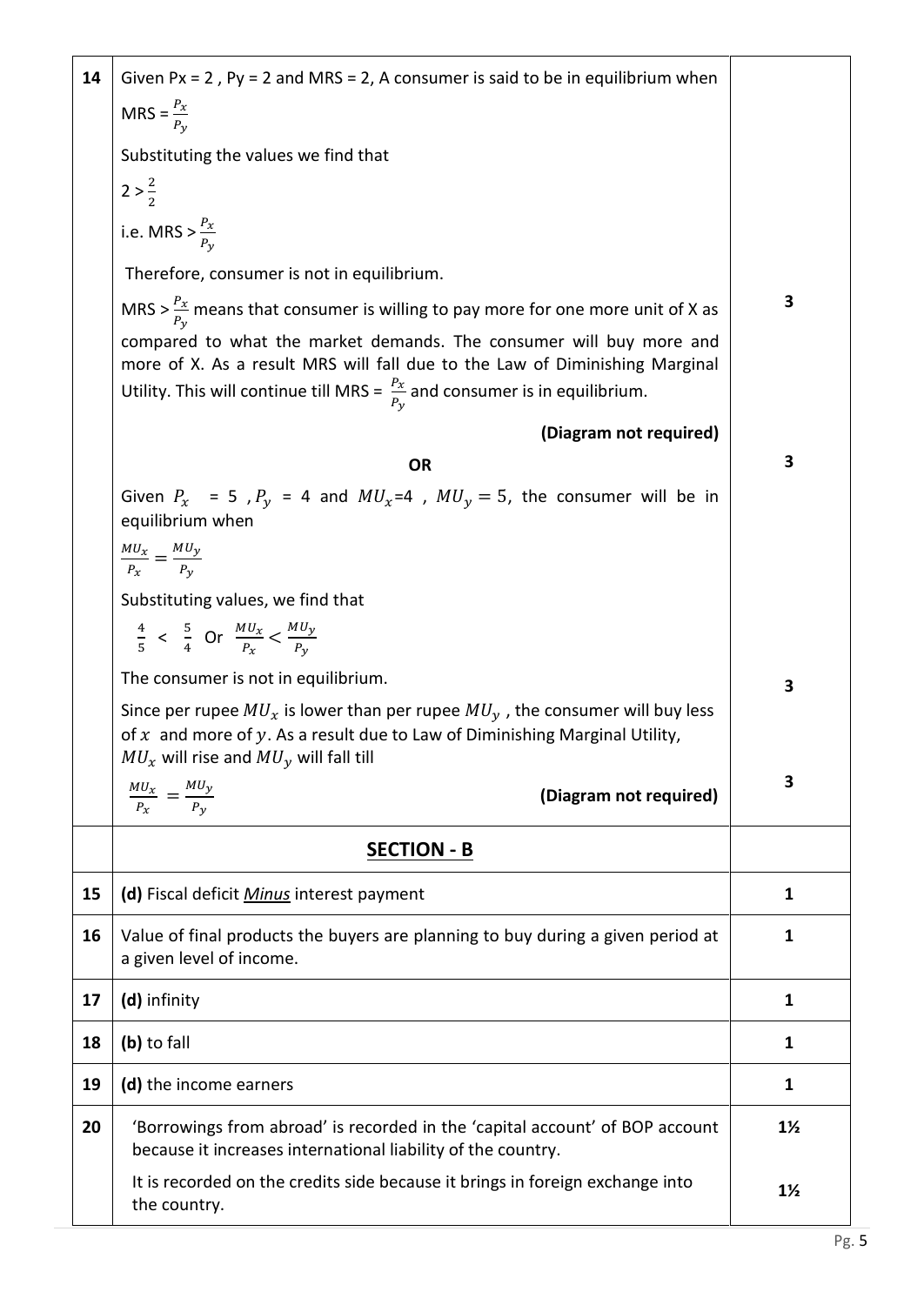| 14 | Given $Px = 2$ , $Py = 2$ and MRS = 2, A consumer is said to be in equilibrium when                                                                                                                                                            |                |  |  |  |  |  |
|----|------------------------------------------------------------------------------------------------------------------------------------------------------------------------------------------------------------------------------------------------|----------------|--|--|--|--|--|
|    | MRS = $\frac{P_x}{P_y}$                                                                                                                                                                                                                        |                |  |  |  |  |  |
|    | Substituting the values we find that                                                                                                                                                                                                           |                |  |  |  |  |  |
|    | $2 > \frac{2}{2}$                                                                                                                                                                                                                              |                |  |  |  |  |  |
|    | i.e. MRS $> \frac{P_x}{P_y}$                                                                                                                                                                                                                   |                |  |  |  |  |  |
|    | Therefore, consumer is not in equilibrium.                                                                                                                                                                                                     |                |  |  |  |  |  |
|    | MRS > $\frac{P_x}{P_{xx}}$ means that consumer is willing to pay more for one more unit of X as                                                                                                                                                | 3              |  |  |  |  |  |
|    | compared to what the market demands. The consumer will buy more and<br>more of X. As a result MRS will fall due to the Law of Diminishing Marginal<br>Utility. This will continue till MRS = $\frac{P_x}{P_y}$ and consumer is in equilibrium. |                |  |  |  |  |  |
|    | (Diagram not required)                                                                                                                                                                                                                         |                |  |  |  |  |  |
|    | <b>OR</b>                                                                                                                                                                                                                                      | 3              |  |  |  |  |  |
|    | Given $P_x$ = 5, $P_y$ = 4 and $MU_x$ =4, $MU_y$ = 5, the consumer will be in<br>equilibrium when                                                                                                                                              |                |  |  |  |  |  |
|    | $\frac{MU_x}{P_x} = \frac{MU_y}{P_y}$                                                                                                                                                                                                          |                |  |  |  |  |  |
|    | Substituting values, we find that                                                                                                                                                                                                              |                |  |  |  |  |  |
|    | $\frac{4}{5}$ < $\frac{5}{4}$ Or $\frac{MU_x}{P_x}$ < $\frac{MU_y}{P_y}$                                                                                                                                                                       |                |  |  |  |  |  |
|    | The consumer is not in equilibrium.                                                                                                                                                                                                            | 3              |  |  |  |  |  |
|    | Since per rupee $MU_x$ is lower than per rupee $MU_y$ , the consumer will buy less<br>of $x$ and more of $y$ . As a result due to Law of Diminishing Marginal Utility,<br>$MU_x$ will rise and $MU_y$ will fall till                           |                |  |  |  |  |  |
|    | $\frac{M U_x}{P_x} = \frac{M U_y}{P_y}$<br>(Diagram not required)                                                                                                                                                                              | 3              |  |  |  |  |  |
|    | <b>SECTION - B</b>                                                                                                                                                                                                                             |                |  |  |  |  |  |
| 15 | (d) Fiscal deficit Minus interest payment                                                                                                                                                                                                      | 1              |  |  |  |  |  |
| 16 | Value of final products the buyers are planning to buy during a given period at<br>a given level of income.                                                                                                                                    | 1              |  |  |  |  |  |
| 17 | (d) infinity                                                                                                                                                                                                                                   | 1              |  |  |  |  |  |
| 18 | (b) to fall                                                                                                                                                                                                                                    | 1              |  |  |  |  |  |
| 19 | (d) the income earners                                                                                                                                                                                                                         | 1              |  |  |  |  |  |
| 20 | 'Borrowings from abroad' is recorded in the 'capital account' of BOP account<br>because it increases international liability of the country.                                                                                                   | $1\frac{1}{2}$ |  |  |  |  |  |
|    | It is recorded on the credits side because it brings in foreign exchange into<br>the country.                                                                                                                                                  | $1\frac{1}{2}$ |  |  |  |  |  |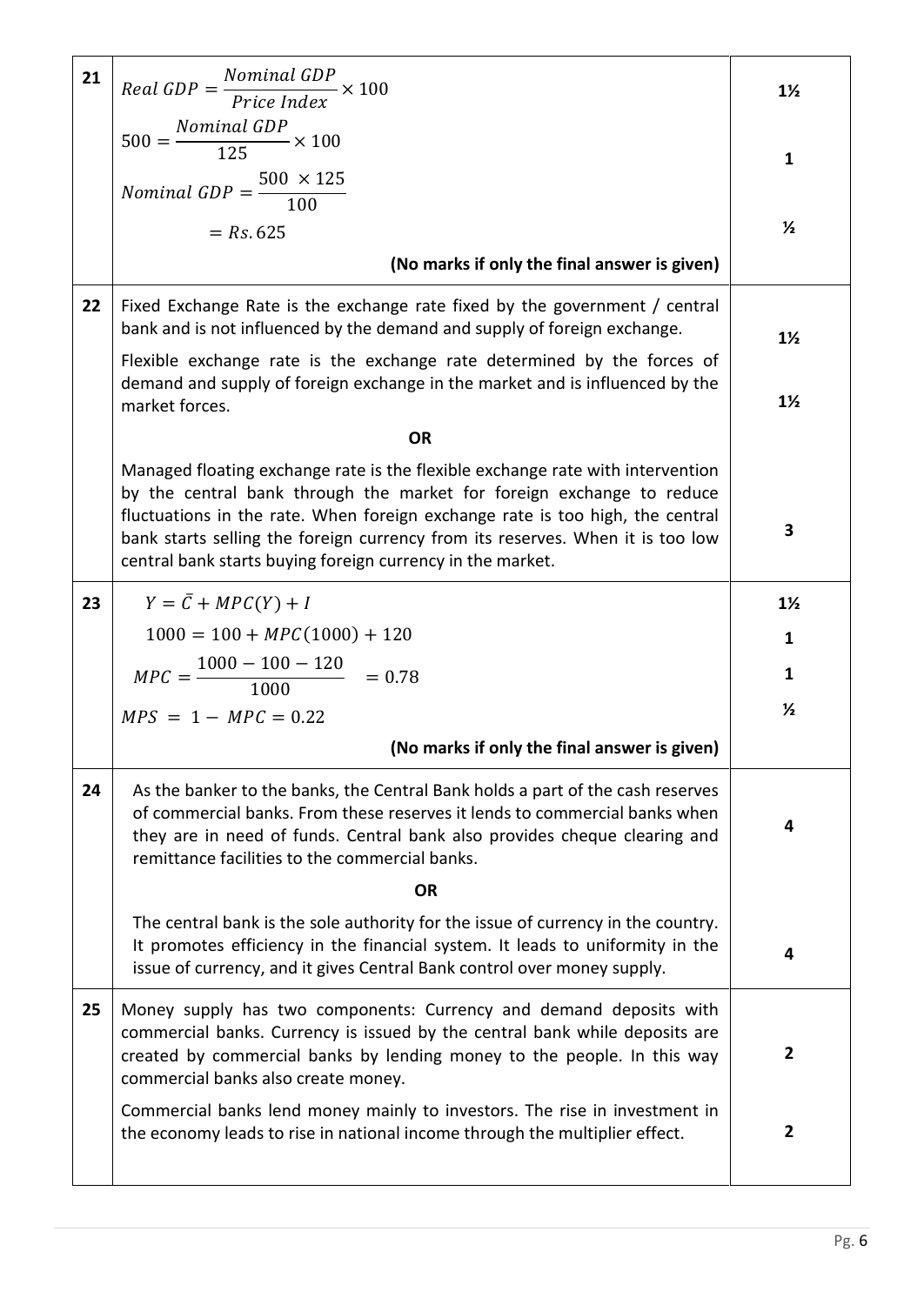| 21 | $Real GDP = \frac{Nominal GDP}{Price Index} \times 100$                                                                                                                                                                                                                                                                                                                                  | $1\frac{1}{2}$ |
|----|------------------------------------------------------------------------------------------------------------------------------------------------------------------------------------------------------------------------------------------------------------------------------------------------------------------------------------------------------------------------------------------|----------------|
|    | $500 = \frac{Nominal GDP}{125} \times 100$                                                                                                                                                                                                                                                                                                                                               |                |
|    |                                                                                                                                                                                                                                                                                                                                                                                          | $\mathbf{1}$   |
|    | <i>Nominal GDP</i> = $\frac{500 \times 125}{100}$                                                                                                                                                                                                                                                                                                                                        |                |
|    | $= Rs.625$                                                                                                                                                                                                                                                                                                                                                                               | $\frac{1}{2}$  |
|    | (No marks if only the final answer is given)                                                                                                                                                                                                                                                                                                                                             |                |
| 22 | Fixed Exchange Rate is the exchange rate fixed by the government / central<br>bank and is not influenced by the demand and supply of foreign exchange.                                                                                                                                                                                                                                   | $1\frac{1}{2}$ |
|    | Flexible exchange rate is the exchange rate determined by the forces of<br>demand and supply of foreign exchange in the market and is influenced by the<br>market forces.                                                                                                                                                                                                                | $1\frac{1}{2}$ |
|    | <b>OR</b>                                                                                                                                                                                                                                                                                                                                                                                |                |
|    | Managed floating exchange rate is the flexible exchange rate with intervention<br>by the central bank through the market for foreign exchange to reduce<br>fluctuations in the rate. When foreign exchange rate is too high, the central<br>bank starts selling the foreign currency from its reserves. When it is too low<br>central bank starts buying foreign currency in the market. | 3              |
| 23 | $Y = \overline{C} + MPC(Y) + I$                                                                                                                                                                                                                                                                                                                                                          | $1\frac{1}{2}$ |
|    | $1000 = 100 + MPC(1000) + 120$                                                                                                                                                                                                                                                                                                                                                           | 1              |
|    | $MPC = \frac{1000 - 100 - 120}{1000}$ = 0.78                                                                                                                                                                                                                                                                                                                                             | 1              |
|    | $MPS = 1 - MPC = 0.22$                                                                                                                                                                                                                                                                                                                                                                   | $\frac{1}{2}$  |
|    | (No marks if only the final answer is given)                                                                                                                                                                                                                                                                                                                                             |                |
| 24 | As the banker to the banks, the Central Bank holds a part of the cash reserves<br>of commercial banks. From these reserves it lends to commercial banks when<br>they are in need of funds. Central bank also provides cheque clearing and<br>remittance facilities to the commercial banks.                                                                                              | 4              |
|    | <b>OR</b>                                                                                                                                                                                                                                                                                                                                                                                |                |
|    | The central bank is the sole authority for the issue of currency in the country.<br>It promotes efficiency in the financial system. It leads to uniformity in the<br>issue of currency, and it gives Central Bank control over money supply.                                                                                                                                             | 4              |
| 25 | Money supply has two components: Currency and demand deposits with<br>commercial banks. Currency is issued by the central bank while deposits are<br>created by commercial banks by lending money to the people. In this way<br>commercial banks also create money.                                                                                                                      | $\overline{2}$ |
|    | Commercial banks lend money mainly to investors. The rise in investment in<br>the economy leads to rise in national income through the multiplier effect.                                                                                                                                                                                                                                | $\mathbf{2}$   |